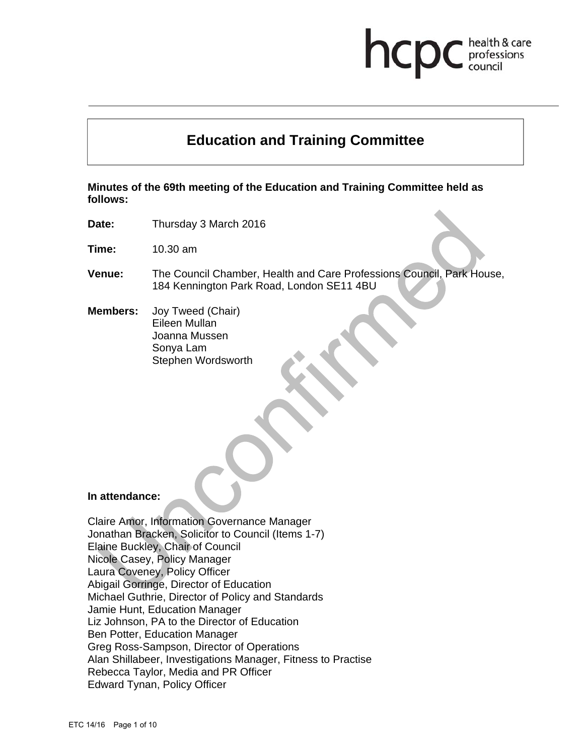# **Education and Training Committee**

health & care professions

**Minutes of the 69th meeting of the Education and Training Committee held as follows:** 

**Date:** Thursday 3 March 2016

**Time:** 10.30 am

- **Venue:** The Council Chamber, Health and Care Professions Council, Park House, 184 Kennington Park Road, London SE11 4BU
- **Members:** Joy Tweed (Chair) Eileen Mullan Joanna Mussen Sonya Lam Stephen Wordsworth

#### **In attendance:**

Claire Amor, Information Governance Manager Jonathan Bracken, Solicitor to Council (Items 1-7) Elaine Buckley, Chair of Council Nicole Casey, Policy Manager Laura Coveney, Policy Officer Abigail Gorringe, Director of Education Michael Guthrie, Director of Policy and Standards Jamie Hunt, Education Manager Liz Johnson, PA to the Director of Education Ben Potter, Education Manager Greg Ross-Sampson, Director of Operations Alan Shillabeer, Investigations Manager, Fitness to Practise Rebecca Taylor, Media and PR Officer Edward Tynan, Policy Officer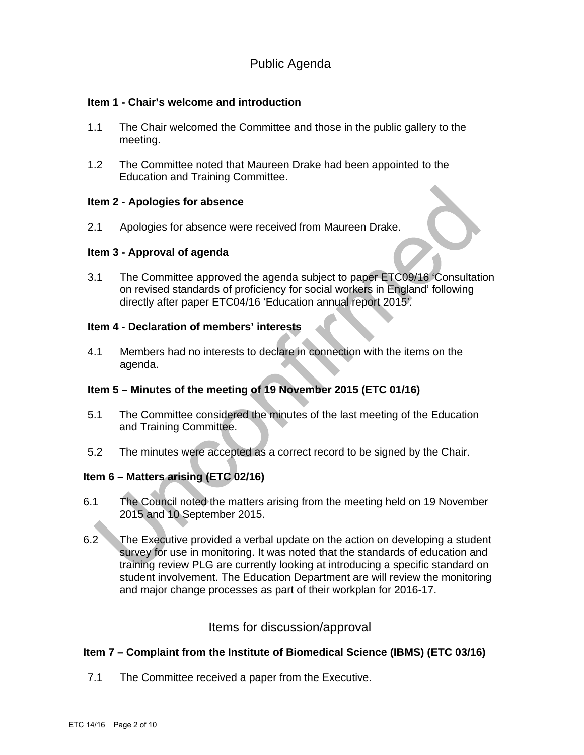# Public Agenda

# **Item 1 - Chair's welcome and introduction**

- 1.1 The Chair welcomed the Committee and those in the public gallery to the meeting.
- 1.2 The Committee noted that Maureen Drake had been appointed to the Education and Training Committee.

### **Item 2 - Apologies for absence**

2.1 Apologies for absence were received from Maureen Drake.

### **Item 3 - Approval of agenda**

3.1 The Committee approved the agenda subject to paper ETC09/16 'Consultation on revised standards of proficiency for social workers in England' following directly after paper ETC04/16 'Education annual report 2015'.

## **Item 4 - Declaration of members' interests**

4.1 Members had no interests to declare in connection with the items on the agenda.

# **Item 5 – Minutes of the meeting of 19 November 2015 (ETC 01/16)**

- 5.1 The Committee considered the minutes of the last meeting of the Education and Training Committee.
- 5.2 The minutes were accepted as a correct record to be signed by the Chair.

# **Item 6 – Matters arising (ETC 02/16)**

- 6.1 The Council noted the matters arising from the meeting held on 19 November 2015 and 10 September 2015.
- 6.2 The Executive provided a verbal update on the action on developing a student survey for use in monitoring. It was noted that the standards of education and training review PLG are currently looking at introducing a specific standard on student involvement. The Education Department are will review the monitoring and major change processes as part of their workplan for 2016-17.

# Items for discussion/approval

# **Item 7 – Complaint from the Institute of Biomedical Science (IBMS) (ETC 03/16)**

7.1 The Committee received a paper from the Executive.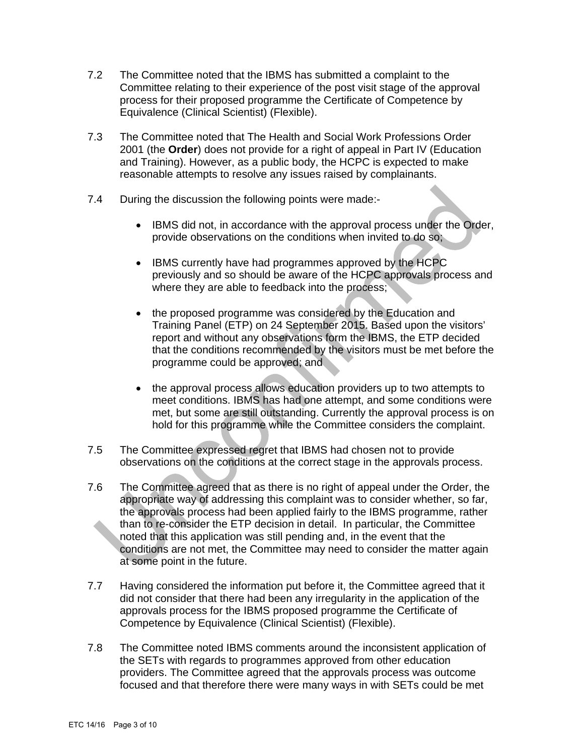- 7.2 The Committee noted that the IBMS has submitted a complaint to the Committee relating to their experience of the post visit stage of the approval process for their proposed programme the Certificate of Competence by Equivalence (Clinical Scientist) (Flexible).
- 7.3 The Committee noted that The Health and Social Work Professions Order 2001 (the **Order**) does not provide for a right of appeal in Part IV (Education and Training). However, as a public body, the HCPC is expected to make reasonable attempts to resolve any issues raised by complainants.
- 7.4 During the discussion the following points were made:-
	- IBMS did not, in accordance with the approval process under the Order, provide observations on the conditions when invited to do so;
	- IBMS currently have had programmes approved by the HCPC previously and so should be aware of the HCPC approvals process and where they are able to feedback into the process;
	- the proposed programme was considered by the Education and Training Panel (ETP) on 24 September 2015. Based upon the visitors' report and without any observations form the IBMS, the ETP decided that the conditions recommended by the visitors must be met before the programme could be approved; and
	- the approval process allows education providers up to two attempts to meet conditions. IBMS has had one attempt, and some conditions were met, but some are still outstanding. Currently the approval process is on hold for this programme while the Committee considers the complaint.
- 7.5 The Committee expressed regret that IBMS had chosen not to provide observations on the conditions at the correct stage in the approvals process.
- 7.6 The Committee agreed that as there is no right of appeal under the Order, the appropriate way of addressing this complaint was to consider whether, so far, the approvals process had been applied fairly to the IBMS programme, rather than to re-consider the ETP decision in detail. In particular, the Committee noted that this application was still pending and, in the event that the conditions are not met, the Committee may need to consider the matter again at some point in the future.
- 7.7 Having considered the information put before it, the Committee agreed that it did not consider that there had been any irregularity in the application of the approvals process for the IBMS proposed programme the Certificate of Competence by Equivalence (Clinical Scientist) (Flexible).
- 7.8 The Committee noted IBMS comments around the inconsistent application of the SETs with regards to programmes approved from other education providers. The Committee agreed that the approvals process was outcome focused and that therefore there were many ways in with SETs could be met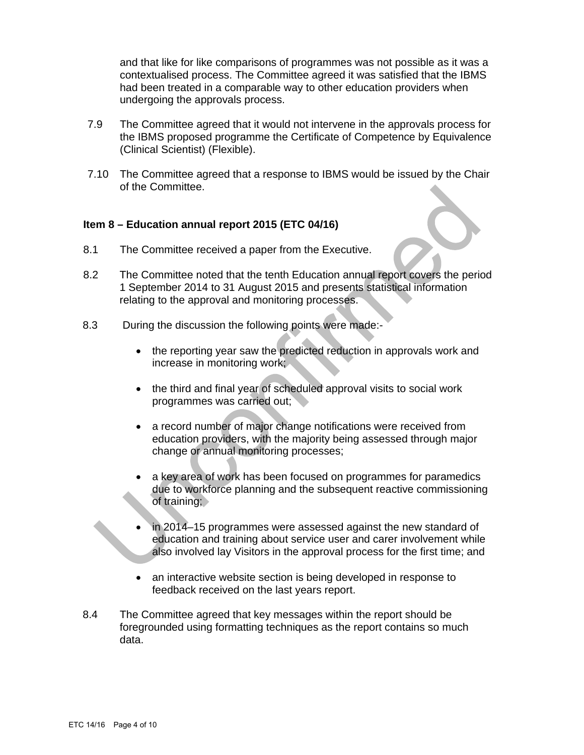and that like for like comparisons of programmes was not possible as it was a contextualised process. The Committee agreed it was satisfied that the IBMS had been treated in a comparable way to other education providers when undergoing the approvals process.

- 7.9 The Committee agreed that it would not intervene in the approvals process for the IBMS proposed programme the Certificate of Competence by Equivalence (Clinical Scientist) (Flexible).
- 7.10 The Committee agreed that a response to IBMS would be issued by the Chair of the Committee.

### **Item 8 – Education annual report 2015 (ETC 04/16)**

- 8.1 The Committee received a paper from the Executive.
- 8.2 The Committee noted that the tenth Education annual report covers the period 1 September 2014 to 31 August 2015 and presents statistical information relating to the approval and monitoring processes.
- 8.3 During the discussion the following points were made:-
	- the reporting year saw the predicted reduction in approvals work and increase in monitoring work;
	- the third and final year of scheduled approval visits to social work programmes was carried out;
	- a record number of major change notifications were received from education providers, with the majority being assessed through major change or annual monitoring processes;
	- a key area of work has been focused on programmes for paramedics due to workforce planning and the subsequent reactive commissioning of training;
	- in 2014–15 programmes were assessed against the new standard of education and training about service user and carer involvement while also involved lay Visitors in the approval process for the first time; and
	- an interactive website section is being developed in response to feedback received on the last years report.
- 8.4 The Committee agreed that key messages within the report should be foregrounded using formatting techniques as the report contains so much data.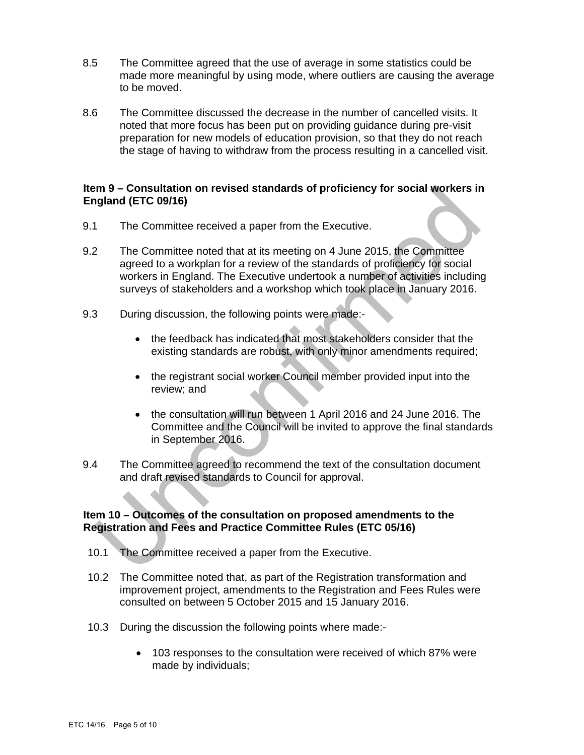- 8.5 The Committee agreed that the use of average in some statistics could be made more meaningful by using mode, where outliers are causing the average to be moved.
- 8.6 The Committee discussed the decrease in the number of cancelled visits. It noted that more focus has been put on providing guidance during pre-visit preparation for new models of education provision, so that they do not reach the stage of having to withdraw from the process resulting in a cancelled visit.

## **Item 9 – Consultation on revised standards of proficiency for social workers in England (ETC 09/16)**

- 9.1 The Committee received a paper from the Executive.
- 9.2 The Committee noted that at its meeting on 4 June 2015, the Committee agreed to a workplan for a review of the standards of proficiency for social workers in England. The Executive undertook a number of activities including surveys of stakeholders and a workshop which took place in January 2016.
- 9.3 During discussion, the following points were made:
	- the feedback has indicated that most stakeholders consider that the existing standards are robust, with only minor amendments required;
	- the registrant social worker Council member provided input into the review; and
	- the consultation will run between 1 April 2016 and 24 June 2016. The Committee and the Council will be invited to approve the final standards in September 2016.
- 9.4 The Committee agreed to recommend the text of the consultation document and draft revised standards to Council for approval.

# **Item 10 – Outcomes of the consultation on proposed amendments to the Registration and Fees and Practice Committee Rules (ETC 05/16)**

- 10.1 The Committee received a paper from the Executive.
- 10.2 The Committee noted that, as part of the Registration transformation and improvement project, amendments to the Registration and Fees Rules were consulted on between 5 October 2015 and 15 January 2016.
- 10.3 During the discussion the following points where made:-
	- 103 responses to the consultation were received of which 87% were made by individuals;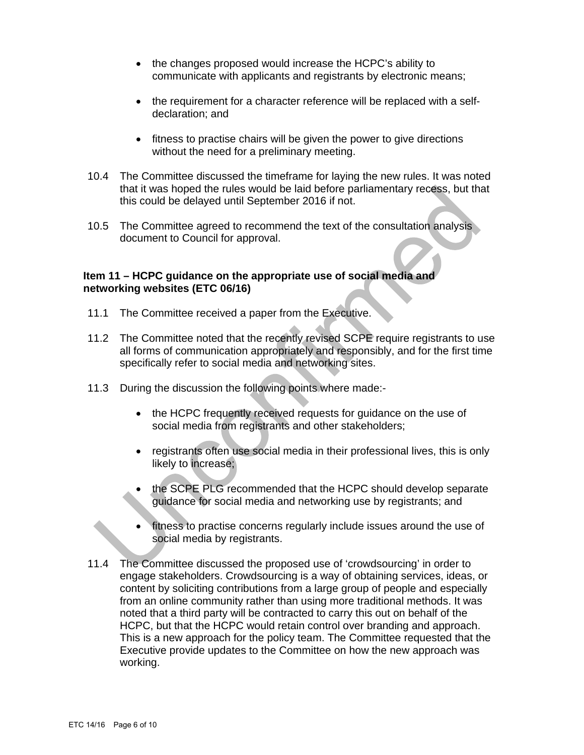- the changes proposed would increase the HCPC's ability to communicate with applicants and registrants by electronic means;
- the requirement for a character reference will be replaced with a selfdeclaration; and
- fitness to practise chairs will be given the power to give directions without the need for a preliminary meeting.
- 10.4 The Committee discussed the timeframe for laying the new rules. It was noted that it was hoped the rules would be laid before parliamentary recess, but that this could be delayed until September 2016 if not.
- 10.5 The Committee agreed to recommend the text of the consultation analysis document to Council for approval.

# **Item 11 – HCPC guidance on the appropriate use of social media and networking websites (ETC 06/16)**

- 11.1 The Committee received a paper from the Executive.
- 11.2 The Committee noted that the recently revised SCPE require registrants to use all forms of communication appropriately and responsibly, and for the first time specifically refer to social media and networking sites.
- 11.3 During the discussion the following points where made:-
	- the HCPC frequently received requests for guidance on the use of social media from registrants and other stakeholders;
	- registrants often use social media in their professional lives, this is only likely to increase;
	- the SCPE PLG recommended that the HCPC should develop separate guidance for social media and networking use by registrants; and
	- fitness to practise concerns regularly include issues around the use of social media by registrants.
- 11.4 The Committee discussed the proposed use of 'crowdsourcing' in order to engage stakeholders. Crowdsourcing is a way of obtaining services, ideas, or content by soliciting contributions from a large group of people and especially from an online community rather than using more traditional methods. It was noted that a third party will be contracted to carry this out on behalf of the HCPC, but that the HCPC would retain control over branding and approach. This is a new approach for the policy team. The Committee requested that the Executive provide updates to the Committee on how the new approach was working.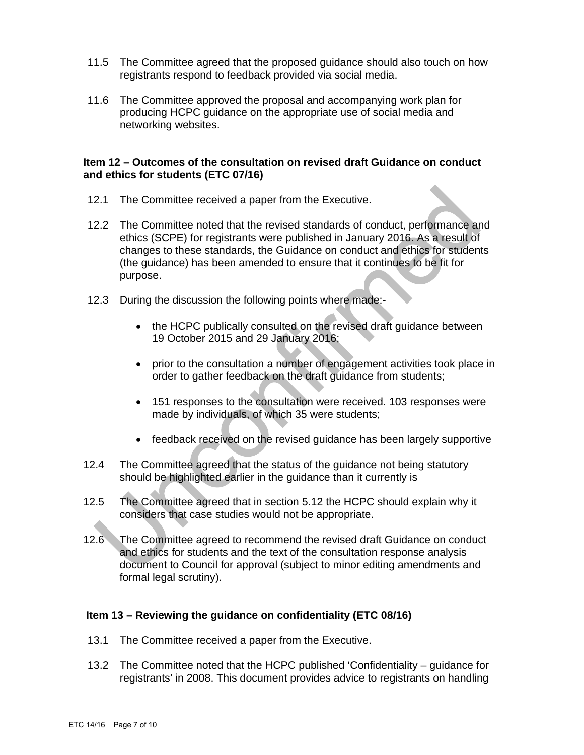- 11.5 The Committee agreed that the proposed guidance should also touch on how registrants respond to feedback provided via social media.
- 11.6 The Committee approved the proposal and accompanying work plan for producing HCPC guidance on the appropriate use of social media and networking websites.

# **Item 12 – Outcomes of the consultation on revised draft Guidance on conduct and ethics for students (ETC 07/16)**

- 12.1 The Committee received a paper from the Executive.
- 12.2 The Committee noted that the revised standards of conduct, performance and ethics (SCPE) for registrants were published in January 2016. As a result of changes to these standards, the Guidance on conduct and ethics for students (the guidance) has been amended to ensure that it continues to be fit for purpose.
- 12.3 During the discussion the following points where made:-
	- the HCPC publically consulted on the revised draft guidance between 19 October 2015 and 29 January 2016;
	- prior to the consultation a number of engagement activities took place in order to gather feedback on the draft guidance from students;
	- 151 responses to the consultation were received. 103 responses were made by individuals, of which 35 were students;
	- feedback received on the revised guidance has been largely supportive
- 12.4 The Committee agreed that the status of the guidance not being statutory should be highlighted earlier in the guidance than it currently is
- 12.5 The Committee agreed that in section 5.12 the HCPC should explain why it considers that case studies would not be appropriate.
- 12.6 The Committee agreed to recommend the revised draft Guidance on conduct and ethics for students and the text of the consultation response analysis document to Council for approval (subject to minor editing amendments and formal legal scrutiny).

# **Item 13 – Reviewing the guidance on confidentiality (ETC 08/16)**

- 13.1 The Committee received a paper from the Executive.
- 13.2 The Committee noted that the HCPC published 'Confidentiality guidance for registrants' in 2008. This document provides advice to registrants on handling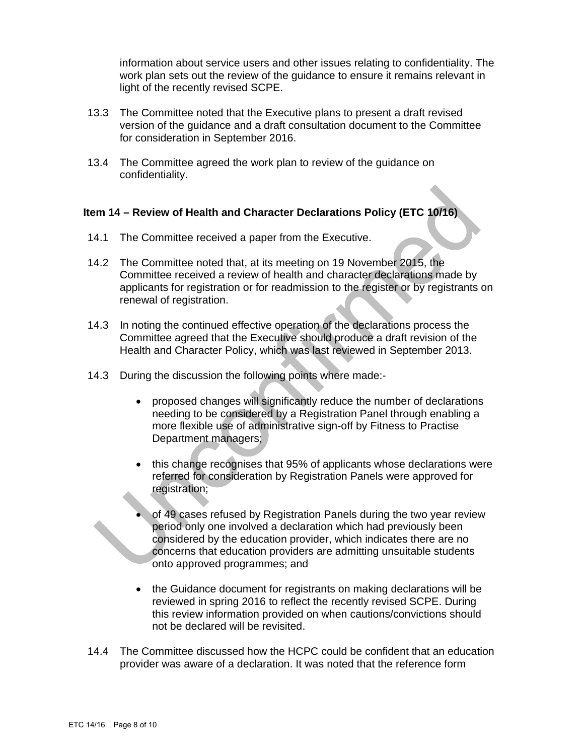information about service users and other issues relating to confidentiality. The work plan sets out the review of the guidance to ensure it remains relevant in light of the recently revised SCPE.

- 13.3 The Committee noted that the Executive plans to present a draft revised version of the guidance and a draft consultation document to the Committee for consideration in September 2016.
- 13.4 The Committee agreed the work plan to review of the guidance on confidentiality.

# **Item 14 – Review of Health and Character Declarations Policy (ETC 10/16)**

- 14.1 The Committee received a paper from the Executive.
- 14.2 The Committee noted that, at its meeting on 19 November 2015, the Committee received a review of health and character declarations made by applicants for registration or for readmission to the register or by registrants on renewal of registration.
- 14.3 In noting the continued effective operation of the declarations process the Committee agreed that the Executive should produce a draft revision of the Health and Character Policy, which was last reviewed in September 2013.
- 14.3 During the discussion the following points where made:
	- proposed changes will significantly reduce the number of declarations needing to be considered by a Registration Panel through enabling a more flexible use of administrative sign-off by Fitness to Practise Department managers;
	- this change recognises that 95% of applicants whose declarations were referred for consideration by Registration Panels were approved for registration;
	- of 49 cases refused by Registration Panels during the two year review period only one involved a declaration which had previously been considered by the education provider, which indicates there are no concerns that education providers are admitting unsuitable students onto approved programmes; and
	- the Guidance document for registrants on making declarations will be reviewed in spring 2016 to reflect the recently revised SCPE. During this review information provided on when cautions/convictions should not be declared will be revisited.
- 14.4 The Committee discussed how the HCPC could be confident that an education provider was aware of a declaration. It was noted that the reference form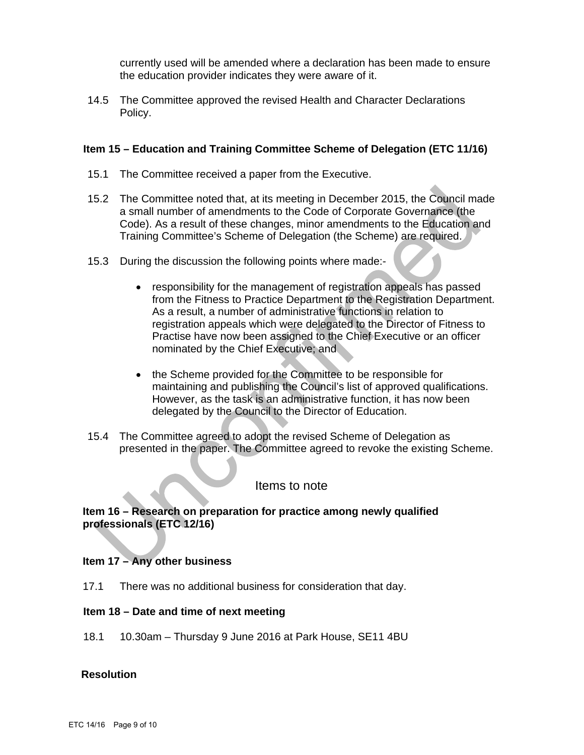currently used will be amended where a declaration has been made to ensure the education provider indicates they were aware of it.

14.5 The Committee approved the revised Health and Character Declarations Policy.

#### **Item 15 – Education and Training Committee Scheme of Delegation (ETC 11/16)**

- 15.1 The Committee received a paper from the Executive.
- 15.2 The Committee noted that, at its meeting in December 2015, the Council made a small number of amendments to the Code of Corporate Governance (the Code). As a result of these changes, minor amendments to the Education and Training Committee's Scheme of Delegation (the Scheme) are required.
- 15.3 During the discussion the following points where made:-
	- responsibility for the management of registration appeals has passed from the Fitness to Practice Department to the Registration Department. As a result, a number of administrative functions in relation to registration appeals which were delegated to the Director of Fitness to Practise have now been assigned to the Chief Executive or an officer nominated by the Chief Executive; and
	- the Scheme provided for the Committee to be responsible for maintaining and publishing the Council's list of approved qualifications. However, as the task is an administrative function, it has now been delegated by the Council to the Director of Education.
- 15.4 The Committee agreed to adopt the revised Scheme of Delegation as presented in the paper. The Committee agreed to revoke the existing Scheme.

# Items to note

# **Item 16 – Research on preparation for practice among newly qualified professionals (ETC 12/16)**

#### **Item 17 – Any other business**

17.1 There was no additional business for consideration that day.

#### **Item 18 – Date and time of next meeting**

18.1 10.30am – Thursday 9 June 2016 at Park House, SE11 4BU

#### **Resolution**